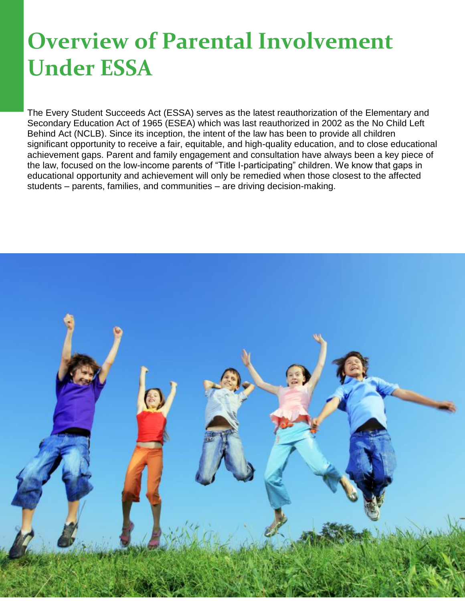## **Overview of Parental Involvement Under ESSA**

The Every Student Succeeds Act (ESSA) serves as the latest reauthorization of the Elementary and Secondary Education Act of 1965 (ESEA) which was last reauthorized in 2002 as the No Child Left Behind Act (NCLB). Since its inception, the intent of the law has been to provide all children significant opportunity to receive a fair, equitable, and high-quality education, and to close educational achievement gaps. Parent and family engagement and consultation have always been a key piece of the law, focused on the low-income parents of "Title I-participating" children. We know that gaps in educational opportunity and achievement will only be remedied when those closest to the affected students – parents, families, and communities – are driving decision-making.

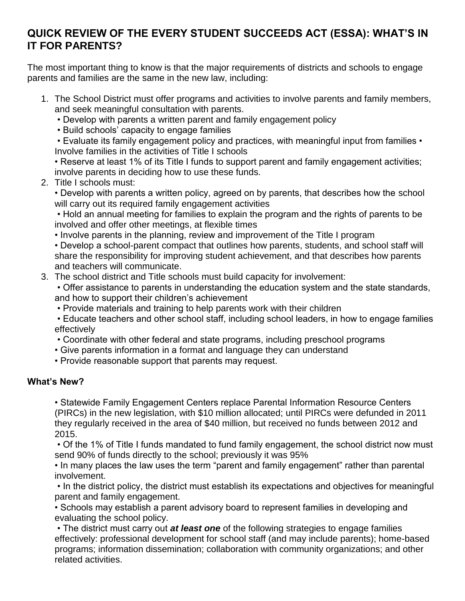## **QUICK REVIEW OF THE EVERY STUDENT SUCCEEDS ACT (ESSA): WHAT'S IN IT FOR PARENTS?**

The most important thing to know is that the major requirements of districts and schools to engage parents and families are the same in the new law, including:

- 1. The School District must offer programs and activities to involve parents and family members, and seek meaningful consultation with parents.
	- Develop with parents a written parent and family engagement policy
	- Build schools' capacity to engage families

• Evaluate its family engagement policy and practices, with meaningful input from families • Involve families in the activities of Title I schools

• Reserve at least 1% of its Title I funds to support parent and family engagement activities; involve parents in deciding how to use these funds.

2. Title I schools must:

• Develop with parents a written policy, agreed on by parents, that describes how the school will carry out its required family engagement activities

• Hold an annual meeting for families to explain the program and the rights of parents to be involved and offer other meetings, at flexible times

• Involve parents in the planning, review and improvement of the Title I program

• Develop a school-parent compact that outlines how parents, students, and school staff will share the responsibility for improving student achievement, and that describes how parents and teachers will communicate.

3. The school district and Title schools must build capacity for involvement:

• Offer assistance to parents in understanding the education system and the state standards, and how to support their children's achievement

• Provide materials and training to help parents work with their children

• Educate teachers and other school staff, including school leaders, in how to engage families effectively

- Coordinate with other federal and state programs, including preschool programs
- Give parents information in a format and language they can understand
- Provide reasonable support that parents may request.

## **What's New?**

• Statewide Family Engagement Centers replace Parental Information Resource Centers (PIRCs) in the new legislation, with \$10 million allocated; until PIRCs were defunded in 2011 they regularly received in the area of \$40 million, but received no funds between 2012 and 2015.

• Of the 1% of Title I funds mandated to fund family engagement, the school district now must send 90% of funds directly to the school; previously it was 95%

• In many places the law uses the term "parent and family engagement" rather than parental involvement.

• In the district policy, the district must establish its expectations and objectives for meaningful parent and family engagement.

• Schools may establish a parent advisory board to represent families in developing and evaluating the school policy.

• The district must carry out *at least one* of the following strategies to engage families effectively: professional development for school staff (and may include parents); home-based programs; information dissemination; collaboration with community organizations; and other related activities.